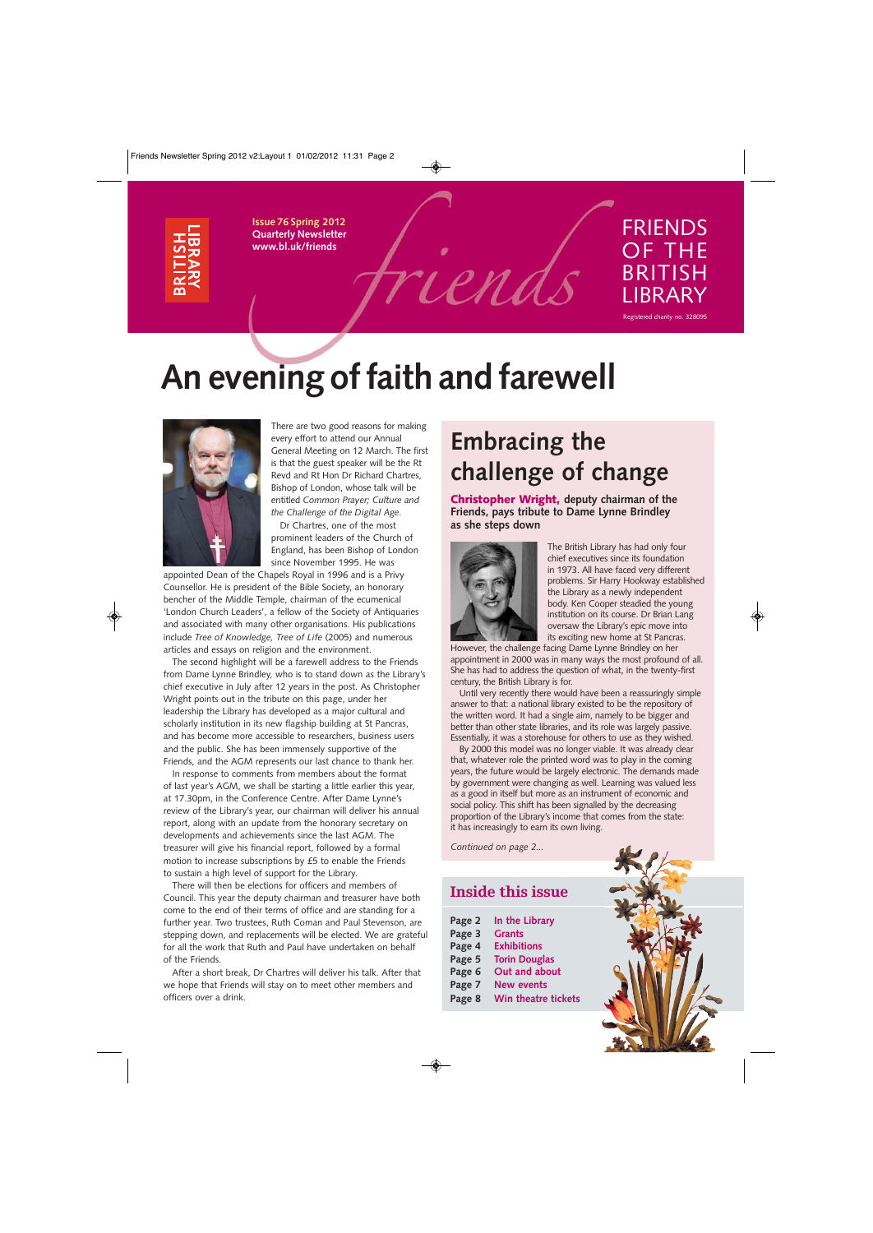

**Issue 76 Spring 2012 Quarterly Newsletter www.bl.uk/friends**



# FRIENDS OF THE BRITISH LIBRARY

Registered charity no. 328095

# **An evening of faith and farewell**



There are two good reasons for making every effort to attend our Annual General Meeting on 12 March. The first is that the guest speaker will be the Rt Revd and Rt Hon Dr Richard Chartres, Bishop of London, whose talk will be entitled *Common Prayer; Culture and the Challenge of the Digital Age*. Dr Chartres, one of the most

prominent leaders of the Church of England, has been Bishop of London since November 1995. He was

appointed Dean of the Chapels Royal in 1996 and is a Privy Counsellor. He is president of the Bible Society, an honorary bencher of the Middle Temple, chairman of the ecumenical 'London Church Leaders', a fellow of the Society of Antiquaries and associated with many other organisations. His publications include *Tree of Knowledge, Tree of Life* (2005) and numerous articles and essays on religion and the environment.

The second highlight will be a farewell address to the Friends from Dame Lynne Brindley, who is to stand down as the Library's chief executive in July after 12 years in the post. As Christopher Wright points out in the tribute on this page, under her leadership the Library has developed as a major cultural and scholarly institution in its new flagship building at St Pancras, and has become more accessible to researchers, business users and the public. She has been immensely supportive of the Friends, and the AGM represents our last chance to thank her.

In response to comments from members about the format of last year's AGM, we shall be starting a little earlier this year, at 17.30pm, in the Conference Centre. After Dame Lynne's review of the Library's year, our chairman will deliver his annual report, along with an update from the honorary secretary on developments and achievements since the last AGM. The treasurer will give his financial report, followed by a formal motion to increase subscriptions by £5 to enable the Friends to sustain a high level of support for the Library.

There will then be elections for officers and members of Council. This year the deputy chairman and treasurer have both come to the end of their terms of office and are standing for a further year. Two trustees, Ruth Coman and Paul Stevenson, are stepping down, and replacements will be elected. We are grateful for all the work that Ruth and Paul have undertaken on behalf of the Friends.

After a short break, Dr Chartres will deliver his talk. After that we hope that Friends will stay on to meet other members and officers over a drink.

# **Embracing the challenge of change**

**Christopher Wright, deputy chairman of the Friends, pays tribute to Dame Lynne Brindley as she steps down**



The British Library has had only four chief executives since its foundation in 1973. All have faced very different problems. Sir Harry Hookway established the Library as a newly independent body. Ken Cooper steadied the young institution on its course. Dr Brian Lang oversaw the Library's epic move into its exciting new home at St Pancras.

However, the challenge facing Dame Lynne Brindley on her appointment in 2000 was in many ways the most profound of all. She has had to address the question of what, in the twenty-first century, the British Library is for.

Until very recently there would have been a reassuringly simple answer to that: a national library existed to be the repository of the written word. It had a single aim, namely to be bigger and better than other state libraries, and its role was largely passive. Essentially, it was a storehouse for others to use as they wished.

By 2000 this model was no longer viable. It was already clear that, whatever role the printed word was to play in the coming years, the future would be largely electronic. The demands made by government were changing as well. Learning was valued less as a good in itself but more as an instrument of economic and social policy. This shift has been signalled by the decreasing proportion of the Library's income that comes from the state: it has increasingly to earn its own living.

*Continued on page 2...*

## **Inside this issue**

| Page 2 | In the Library       |
|--------|----------------------|
| Page 3 | <b>Grants</b>        |
| Page 4 | <b>Exhibitions</b>   |
| Page 5 | <b>Torin Douglas</b> |
| Page 6 | Out and about        |
| Page 7 | <b>New events</b>    |
| Page 8 | Win theatre tickets  |

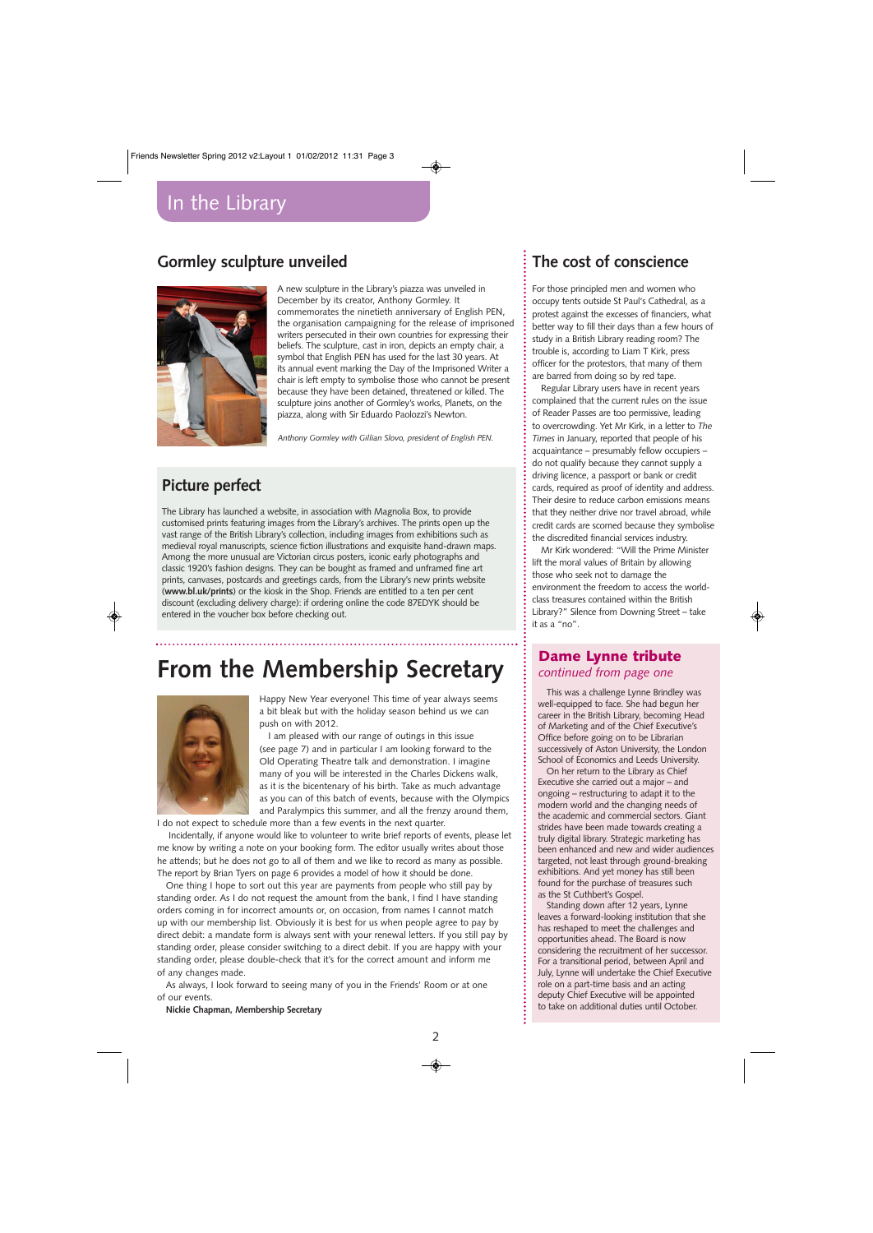# **Gormley sculpture unveiled**



A new sculpture in the Library's piazza was unveiled in December by its creator, Anthony Gormley. It commemorates the ninetieth anniversary of English PEN, the organisation campaigning for the release of imprisoned writers persecuted in their own countries for expressing their beliefs. The sculpture, cast in iron, depicts an empty chair, a symbol that English PEN has used for the last 30 years. At its annual event marking the Day of the Imprisoned Writer a chair is left empty to symbolise those who cannot be present because they have been detained, threatened or killed. The sculpture joins another of Gormley's works, Planets, on the piazza, along with Sir Eduardo Paolozzi's Newton.

*Anthony Gormley with Gillian Slovo, president of English PEN.*

# **Picture perfect**

The Library has launched a website, in association with Magnolia Box, to provide customised prints featuring images from the Library's archives. The prints open up the vast range of the British Library's collection, including images from exhibitions such as medieval royal manuscripts, science fiction illustrations and exquisite hand-drawn maps. Among the more unusual are Victorian circus posters, iconic early photographs and classic 1920's fashion designs. They can be bought as framed and unframed fine art prints, canvases, postcards and greetings cards, from the Library's new prints website (**www.bl.uk/prints**) or the kiosk in the Shop. Friends are entitled to a ten per cent discount (excluding delivery charge): if ordering online the code 87EDYK should be entered in the voucher box before checking out.

# **From the Membership Secretary**



Happy New Year everyone! This time of year always seems a bit bleak but with the holiday season behind us we can push on with 2012.

I am pleased with our range of outings in this issue (see page 7) and in particular I am looking forward to the Old Operating Theatre talk and demonstration. I imagine many of you will be interested in the Charles Dickens walk, as it is the bicentenary of his birth. Take as much advantage as you can of this batch of events, because with the Olympics and Paralympics this summer, and all the frenzy around them,

I do not expect to schedule more than a few events in the next quarter.

Incidentally, if anyone would like to volunteer to write brief reports of events, please let me know by writing a note on your booking form. The editor usually writes about those he attends; but he does not go to all of them and we like to record as many as possible. The report by Brian Tyers on page 6 provides a model of how it should be done.

One thing I hope to sort out this year are payments from people who still pay by standing order. As I do not request the amount from the bank, I find I have standing orders coming in for incorrect amounts or, on occasion, from names I cannot match up with our membership list. Obviously it is best for us when people agree to pay by direct debit: a mandate form is always sent with your renewal letters. If you still pay by standing order, please consider switching to a direct debit. If you are happy with your standing order, please double-check that it's for the correct amount and inform me of any changes made.

As always, I look forward to seeing many of you in the Friends' Room or at one of our events.

**Nickie Chapman, Membership Secretary**

# **The cost of conscience**

For those principled men and women who occupy tents outside St Paul's Cathedral, as a protest against the excesses of financiers, what better way to fill their days than a few hours of study in a British Library reading room? The trouble is, according to Liam T Kirk, press officer for the protestors, that many of them are barred from doing so by red tape.

Regular Library users have in recent years complained that the current rules on the issue of Reader Passes are too permissive, leading to overcrowding. Yet Mr Kirk, in a letter to *The Times* in January, reported that people of his acquaintance – presumably fellow occupiers – do not qualify because they cannot supply a driving licence, a passport or bank or credit cards, required as proof of identity and address. Their desire to reduce carbon emissions means that they neither drive nor travel abroad, while credit cards are scorned because they symbolise the discredited financial services industry.

Mr Kirk wondered: "Will the Prime Minister lift the moral values of Britain by allowing those who seek not to damage the environment the freedom to access the worldclass treasures contained within the British Library?" Silence from Downing Street – take it as a "no".

## **Dame Lynne tribute**  *continued from page one*

This was a challenge Lynne Brindley was well-equipped to face. She had begun her career in the British Library, becoming Head of Marketing and of the Chief Executive's Office before going on to be Librarian successively of Aston University, the London School of Economics and Leeds University.

On her return to the Library as Chief Executive she carried out a major – and ongoing – restructuring to adapt it to the modern world and the changing needs of the academic and commercial sectors. Giant strides have been made towards creating a truly digital library. Strategic marketing has been enhanced and new and wider audiences targeted, not least through ground-breaking exhibitions. And yet money has still been found for the purchase of treasures such as the St Cuthbert's Gospel.

Standing down after 12 years, Lynne leaves a forward-looking institution that she has reshaped to meet the challenges and opportunities ahead. The Board is now considering the recruitment of her successor. For a transitional period, between April and July, Lynne will undertake the Chief Executive role on a part-time basis and an acting deputy Chief Executive will be appointed to take on additional duties until October.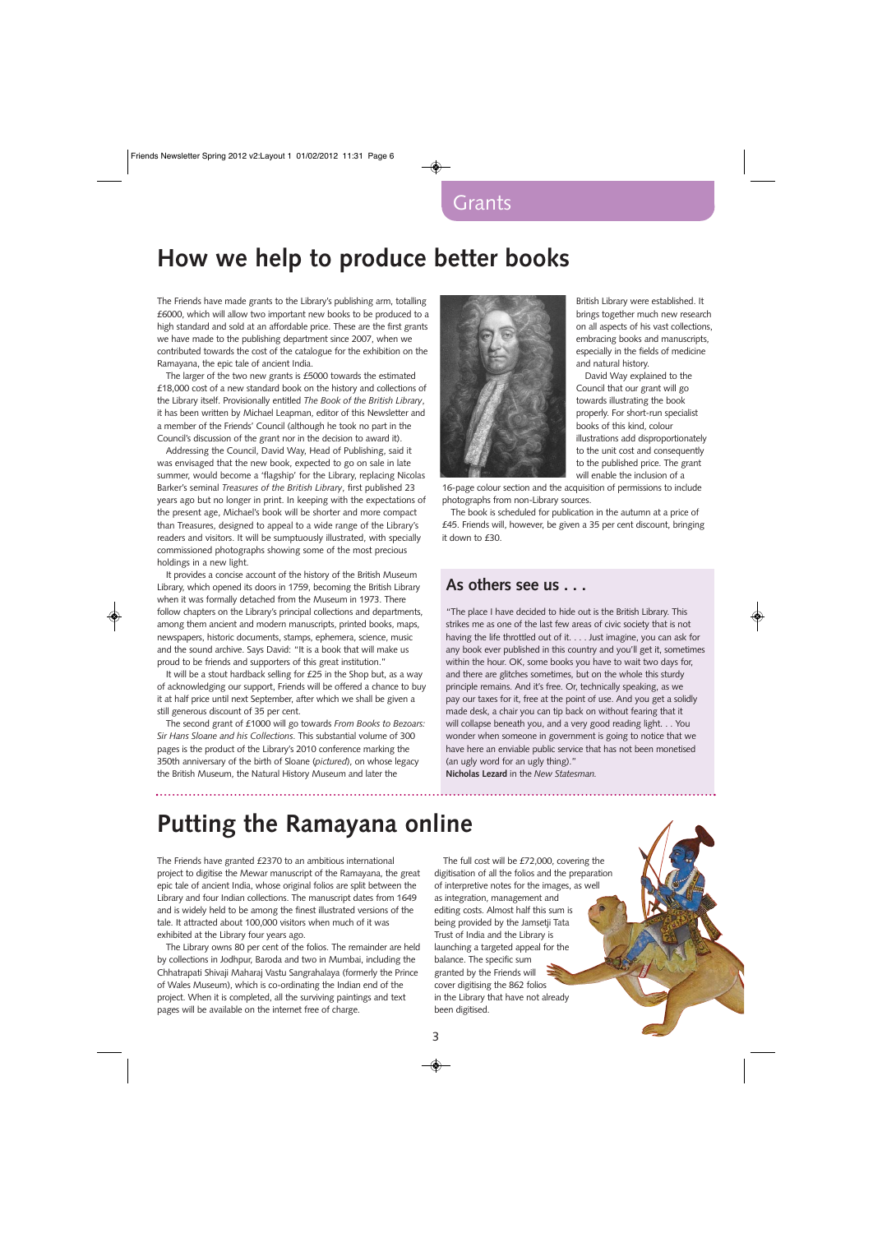# **How we help to produce better books**

The Friends have made grants to the Library's publishing arm, totalling £6000, which will allow two important new books to be produced to a high standard and sold at an affordable price. These are the first grants we have made to the publishing department since 2007, when we contributed towards the cost of the catalogue for the exhibition on the Ramayana, the epic tale of ancient India.

The larger of the two new grants is £5000 towards the estimated £18,000 cost of a new standard book on the history and collections of the Library itself. Provisionally entitled *The Book of the British Library*, it has been written by Michael Leapman, editor of this Newsletter and a member of the Friends' Council (although he took no part in the Council's discussion of the grant nor in the decision to award it).

Addressing the Council, David Way, Head of Publishing, said it was envisaged that the new book, expected to go on sale in late summer, would become a 'flagship' for the Library, replacing Nicolas Barker's seminal *Treasures of the British Library*, first published 23 years ago but no longer in print. In keeping with the expectations of the present age, Michael's book will be shorter and more compact than Treasures, designed to appeal to a wide range of the Library's readers and visitors. It will be sumptuously illustrated, with specially commissioned photographs showing some of the most precious holdings in a new light.

It provides a concise account of the history of the British Museum Library, which opened its doors in 1759, becoming the British Library when it was formally detached from the Museum in 1973. There follow chapters on the Library's principal collections and departments, among them ancient and modern manuscripts, printed books, maps, newspapers, historic documents, stamps, ephemera, science, music and the sound archive. Says David: "It is a book that will make us proud to be friends and supporters of this great institution."

It will be a stout hardback selling for £25 in the Shop but, as a way of acknowledging our support, Friends will be offered a chance to buy it at half price until next September, after which we shall be given a still generous discount of 35 per cent.

The second grant of £1000 will go towards *From Books to Bezoars: Sir Hans Sloane and his Collections*. This substantial volume of 300 pages is the product of the Library's 2010 conference marking the 350th anniversary of the birth of Sloane (*pictured*), on whose legacy the British Museum, the Natural History Museum and later the



British Library were established. It brings together much new research on all aspects of his vast collections, embracing books and manuscripts, especially in the fields of medicine and natural history.

David Way explained to the Council that our grant will go towards illustrating the book properly. For short-run specialist books of this kind, colour illustrations add disproportionately to the unit cost and consequently to the published price. The grant will enable the inclusion of a

16-page colour section and the acquisition of permissions to include photographs from non-Library sources.

The book is scheduled for publication in the autumn at a price of £45. Friends will, however, be given a 35 per cent discount, bringing it down to £30.

## **As others see us . . .**

"The place I have decided to hide out is the British Library. This strikes me as one of the last few areas of civic society that is not having the life throttled out of it. . . . Just imagine, you can ask for any book ever published in this country and you'll get it, sometimes within the hour. OK, some books you have to wait two days for, and there are glitches sometimes, but on the whole this sturdy principle remains. And it's free. Or, technically speaking, as we pay our taxes for it, free at the point of use. And you get a solidly made desk, a chair you can tip back on without fearing that it will collapse beneath you, and a very good reading light. . . You wonder when someone in government is going to notice that we have here an enviable public service that has not been monetised (an ugly word for an ugly thing)."

**Nicholas Lezard** in the *New Statesman.*

# **Putting the Ramayana online**

The Friends have granted £2370 to an ambitious international project to digitise the Mewar manuscript of the Ramayana, the great epic tale of ancient India, whose original folios are split between the Library and four Indian collections. The manuscript dates from 1649 and is widely held to be among the finest illustrated versions of the tale. It attracted about 100,000 visitors when much of it was exhibited at the Library four years ago.

The Library owns 80 per cent of the folios. The remainder are held by collections in Jodhpur, Baroda and two in Mumbai, including the Chhatrapati Shivaji Maharaj Vastu Sangrahalaya (formerly the Prince of Wales Museum), which is co-ordinating the Indian end of the project. When it is completed, all the surviving paintings and text pages will be available on the internet free of charge.

The full cost will be £72,000, covering the digitisation of all the folios and the preparation of interpretive notes for the images, as well as integration, management and editing costs. Almost half this sum is being provided by the Jamsetji Tata Trust of India and the Library is launching a targeted appeal for the balance. The specific sum granted by the Friends will cover digitising the 862 folios in the Library that have not already been digitised.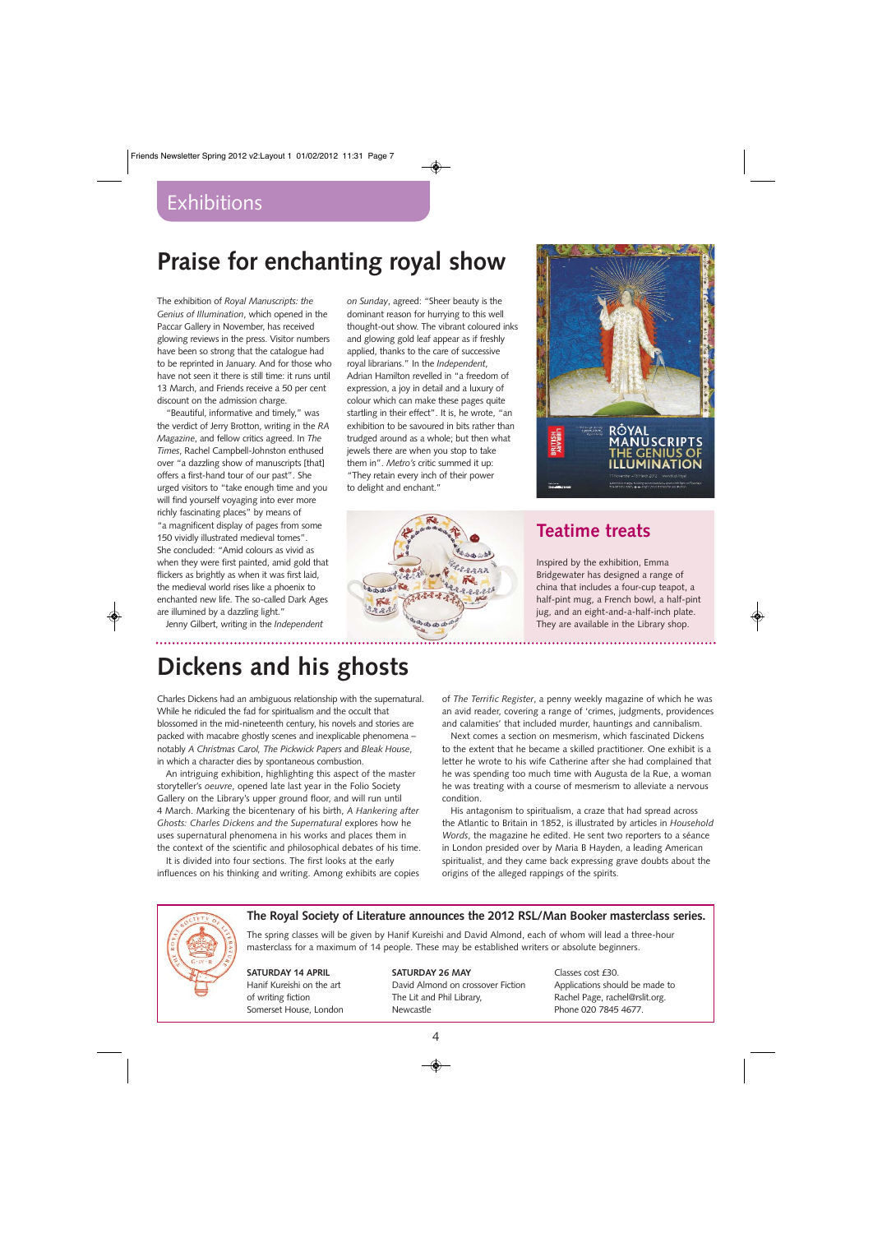# **Praise for enchanting royal show**

The exhibition of *Royal Manuscripts: the Genius of Illumination*, which opened in the Paccar Gallery in November, has received glowing reviews in the press. Visitor numbers have been so strong that the catalogue had to be reprinted in January. And for those who have not seen it there is still time: it runs until 13 March, and Friends receive a 50 per cent discount on the admission charge.

"Beautiful, informative and timely," was the verdict of Jerry Brotton, writing in the *RA Magazine*, and fellow critics agreed. In *The Times*, Rachel Campbell-Johnston enthused over "a dazzling show of manuscripts [that] offers a first-hand tour of our past". She urged visitors to "take enough time and you will find yourself voyaging into ever more richly fascinating places" by means of "a magnificent display of pages from some 150 vividly illustrated medieval tomes". She concluded: "Amid colours as vivid as when they were first painted, amid gold that flickers as brightly as when it was first laid, the medieval world rises like a phoenix to enchanted new life. The so-called Dark Ages are illumined by a dazzling light."

Jenny Gilbert, writing in the *Independent*

*on Sunday*, agreed: "Sheer beauty is the dominant reason for hurrying to this well thought-out show. The vibrant coloured inks and glowing gold leaf appear as if freshly applied, thanks to the care of successive royal librarians." In the *Independent*, Adrian Hamilton revelled in "a freedom of expression, a joy in detail and a luxury of colour which can make these pages quite startling in their effect". It is, he wrote, "an exhibition to be savoured in bits rather than trudged around as a whole; but then what jewels there are when you stop to take them in". *Metro's* critic summed it up: "They retain every inch of their power to delight and enchant."



# **USCRIPT**

# **Teatime treats**

. . . . . . . . . . . . . . . . . .

Inspired by the exhibition, Emma Bridgewater has designed a range of china that includes a four-cup teapot, a half-pint mug, a French bowl, a half-pint jug, and an eight-and-a-half-inch plate. They are available in the Library shop.

# **Dickens and his ghosts**

Charles Dickens had an ambiguous relationship with the supernatural. While he ridiculed the fad for spiritualism and the occult that blossomed in the mid-nineteenth century, his novels and stories are packed with macabre ghostly scenes and inexplicable phenomena – notably *A Christmas Carol, The Pickwick Papers* and *Bleak House*, in which a character dies by spontaneous combustion.

An intriguing exhibition, highlighting this aspect of the master storyteller's *oeuvre*, opened late last year in the Folio Society Gallery on the Library's upper ground floor, and will run until 4 March. Marking the bicentenary of his birth, *A Hankering after Ghosts: Charles Dickens and the Supernatural* explores how he uses supernatural phenomena in his works and places them in the context of the scientific and philosophical debates of his time.

It is divided into four sections. The first looks at the early influences on his thinking and writing. Among exhibits are copies of *The Terrific Register*, a penny weekly magazine of which he was an avid reader, covering a range of 'crimes, judgments, providences and calamities' that included murder, hauntings and cannibalism.

Next comes a section on mesmerism, which fascinated Dickens to the extent that he became a skilled practitioner. One exhibit is a letter he wrote to his wife Catherine after she had complained that he was spending too much time with Augusta de la Rue, a woman he was treating with a course of mesmerism to alleviate a nervous condition.

His antagonism to spiritualism, a craze that had spread across the Atlantic to Britain in 1852, is illustrated by articles in *Household Words*, the magazine he edited. He sent two reporters to a séance in London presided over by Maria B Hayden, a leading American spiritualist, and they came back expressing grave doubts about the origins of the alleged rappings of the spirits.



## **The Royal Society of Literature announces the 2012 RSL/Man Booker masterclass series.**

The spring classes will be given by Hanif Kureishi and David Almond, each of whom will lead a three-hour masterclass for a maximum of 14 people. These may be established writers or absolute beginners.

**SATURDAY 14 APRIL** Hanif Kureishi on the art of writing fiction Somerset House, London

# **SATURDAY 26 MAY**

David Almond on crossover Fiction The Lit and Phil Library, Newcastle

Classes cost £30. Applications should be made to Rachel Page, rachel@rslit.org. Phone 020 7845 4677.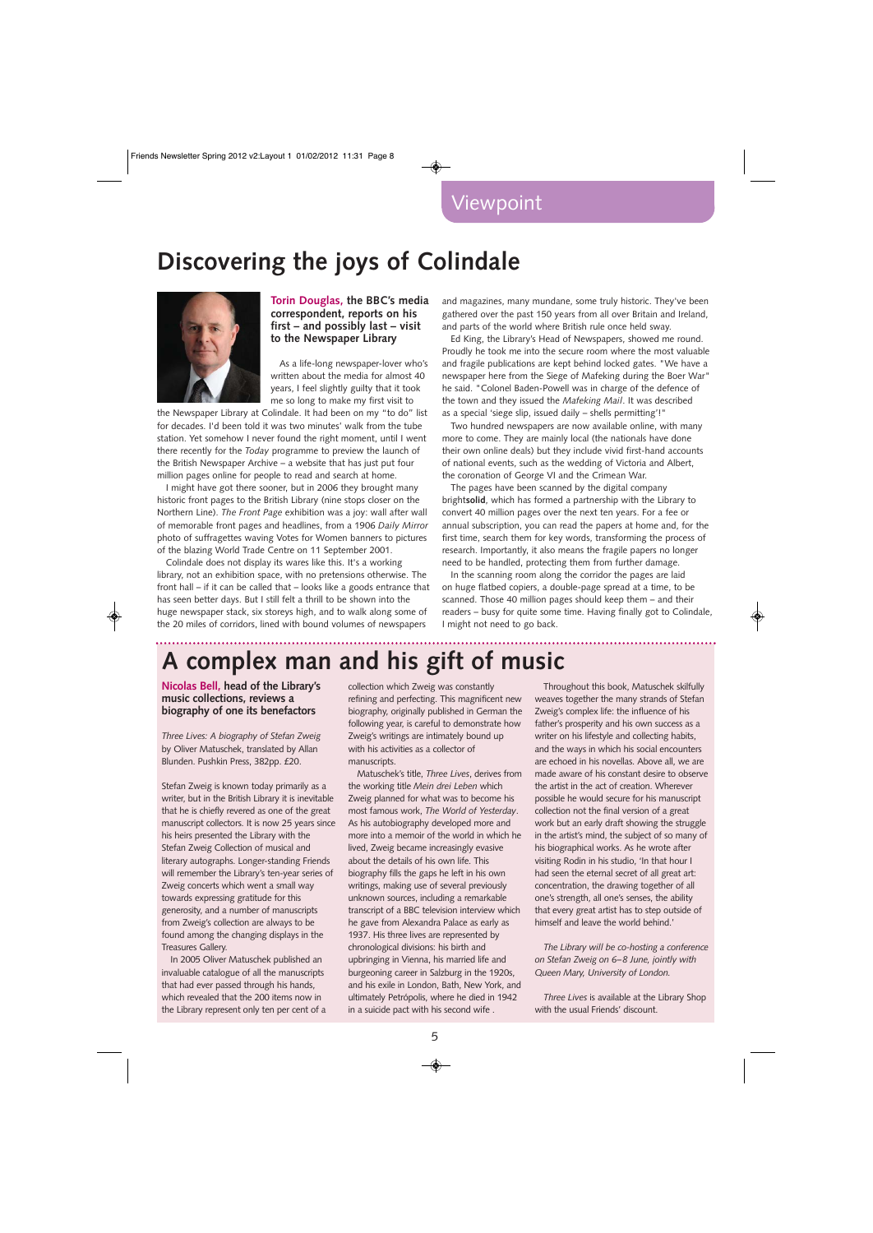# **Discovering the joys of Colindale**



## **Torin Douglas, the BBC's media correspondent, reports on his first – and possibly last – visit to the Newspaper Library**

As a life-long newspaper-lover who's written about the media for almost 40 years, I feel slightly guilty that it took me so long to make my first visit to

the Newspaper Library at Colindale. It had been on my "to do" list for decades. I'd been told it was two minutes' walk from the tube station. Yet somehow I never found the right moment, until I went there recently for the *Today* programme to preview the launch of the British Newspaper Archive – a website that has just put four million pages online for people to read and search at home.

I might have got there sooner, but in 2006 they brought many historic front pages to the British Library (nine stops closer on the Northern Line). *The Front Page* exhibition was a joy: wall after wall of memorable front pages and headlines, from a 1906 *Daily Mirror* photo of suffragettes waving Votes for Women banners to pictures of the blazing World Trade Centre on 11 September 2001.

Colindale does not display its wares like this. It's a working library, not an exhibition space, with no pretensions otherwise. The front hall – if it can be called that – looks like a goods entrance that has seen better days. But I still felt a thrill to be shown into the huge newspaper stack, six storeys high, and to walk along some of the 20 miles of corridors, lined with bound volumes of newspapers

and magazines, many mundane, some truly historic. They've been gathered over the past 150 years from all over Britain and Ireland, and parts of the world where British rule once held sway.

Ed King, the Library's Head of Newspapers, showed me round. Proudly he took me into the secure room where the most valuable and fragile publications are kept behind locked gates. "We have a newspaper here from the Siege of Mafeking during the Boer War" he said. "Colonel Baden-Powell was in charge of the defence of the town and they issued the *Mafeking Mail*. It was described as a special 'siege slip, issued daily – shells permitting'!"

Two hundred newspapers are now available online, with many more to come. They are mainly local (the nationals have done their own online deals) but they include vivid first-hand accounts of national events, such as the wedding of Victoria and Albert, the coronation of George VI and the Crimean War.

The pages have been scanned by the digital company bright**solid**, which has formed a partnership with the Library to convert 40 million pages over the next ten years. For a fee or annual subscription, you can read the papers at home and, for the first time, search them for key words, transforming the process of research. Importantly, it also means the fragile papers no longer need to be handled, protecting them from further damage.

In the scanning room along the corridor the pages are laid on huge flatbed copiers, a double-page spread at a time, to be scanned. Those 40 million pages should keep them – and their readers – busy for quite some time. Having finally got to Colindale, I might not need to go back.

# **A complex man and his gift of music**

**Nicolas Bell, head of the Library's music collections, reviews a biography of one its benefactors**

*Three Lives: A biography of Stefan Zweig* by Oliver Matuschek, translated by Allan Blunden. Pushkin Press, 382pp. £20.

Stefan Zweig is known today primarily as a writer, but in the British Library it is inevitable that he is chiefly revered as one of the great manuscript collectors. It is now 25 years since his heirs presented the Library with the Stefan Zweig Collection of musical and literary autographs. Longer-standing Friends will remember the Library's ten-year series of Zweig concerts which went a small way towards expressing gratitude for this generosity, and a number of manuscripts from Zweig's collection are always to be found among the changing displays in the Treasures Gallery.

In 2005 Oliver Matuschek published an invaluable catalogue of all the manuscripts that had ever passed through his hands, which revealed that the 200 items now in the Library represent only ten per cent of a collection which Zweig was constantly refining and perfecting. This magnificent new biography, originally published in German the following year, is careful to demonstrate how Zweig's writings are intimately bound up with his activities as a collector of manuscripts.

Matuschek's title, *Three Lives*, derives from the working title *Mein drei Leben* which Zweig planned for what was to become his most famous work, *The World of Yesterday*. As his autobiography developed more and more into a memoir of the world in which he lived, Zweig became increasingly evasive about the details of his own life. This biography fills the gaps he left in his own writings, making use of several previously unknown sources, including a remarkable transcript of a BBC television interview which he gave from Alexandra Palace as early as 1937. His three lives are represented by chronological divisions: his birth and upbringing in Vienna, his married life and burgeoning career in Salzburg in the 1920s, and his exile in London, Bath, New York, and ultimately Petrópolis, where he died in 1942 in a suicide pact with his second wife .

Throughout this book, Matuschek skilfully weaves together the many strands of Stefan Zweig's complex life: the influence of his father's prosperity and his own success as a writer on his lifestyle and collecting habits, and the ways in which his social encounters are echoed in his novellas. Above all, we are made aware of his constant desire to observe the artist in the act of creation. Wherever possible he would secure for his manuscript collection not the final version of a great work but an early draft showing the struggle in the artist's mind, the subject of so many of his biographical works. As he wrote after visiting Rodin in his studio, 'In that hour I had seen the eternal secret of all great art: concentration, the drawing together of all one's strength, all one's senses, the ability that every great artist has to step outside of himself and leave the world behind.'

*The Library will be co-hosting a conference on Stefan Zweig on 6–8 June, jointly with Queen Mary, University of London.*

*Three Lives* is available at the Library Shop with the usual Friends' discount.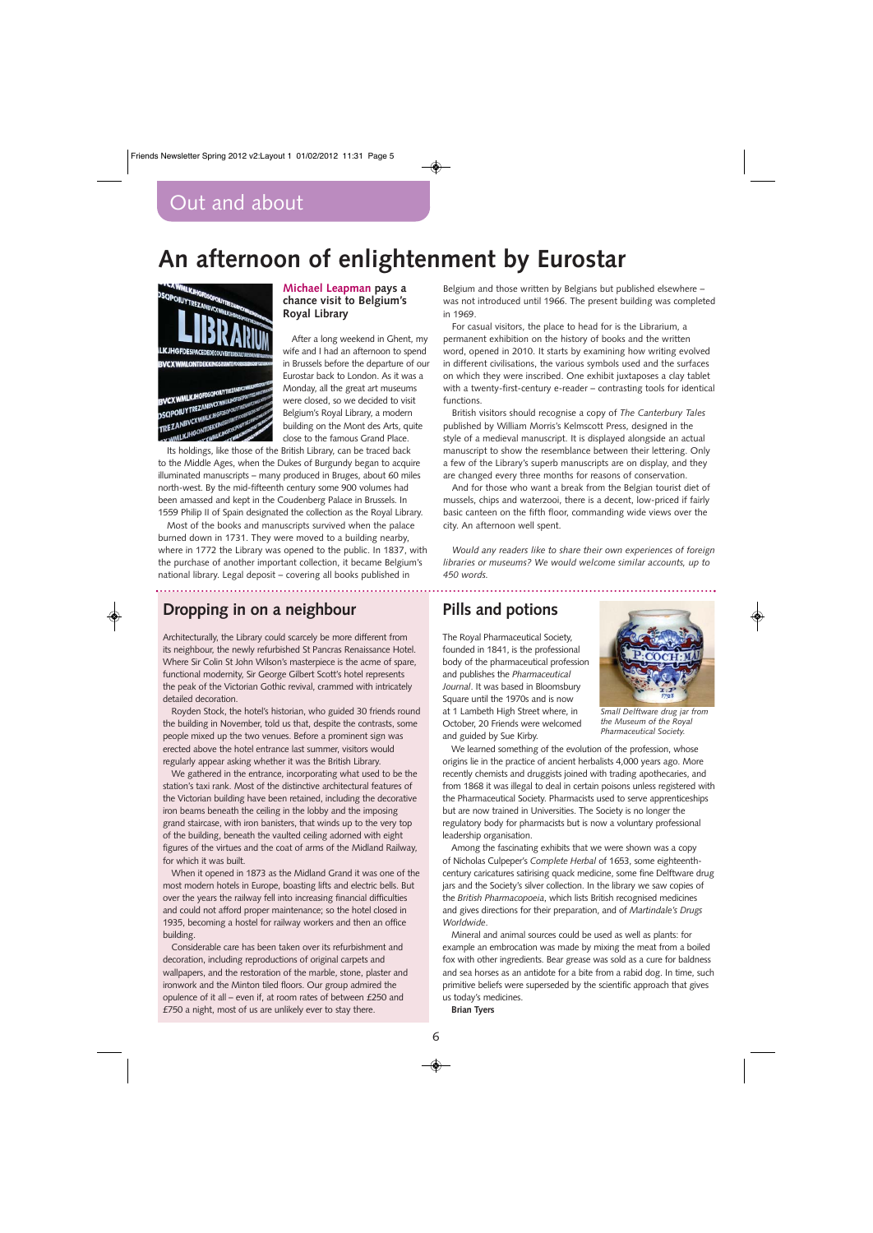# **An afternoon of enlightenment by Eurostar**



## **Michael Leapman pays a chance visit to Belgium's Royal Library**

After a long weekend in Ghent, my wife and I had an afternoon to spend in Brussels before the departure of our Eurostar back to London. As it was a Monday, all the great art museums were closed, so we decided to visit Belgium's Royal Library, a modern building on the Mont des Arts, quite close to the famous Grand Place.

Its holdings, like those of the British Library, can be traced back to the Middle Ages, when the Dukes of Burgundy began to acquire illuminated manuscripts – many produced in Bruges, about 60 miles north-west. By the mid-fifteenth century some 900 volumes had been amassed and kept in the Coudenberg Palace in Brussels. In 1559 Philip II of Spain designated the collection as the Royal Library.

Most of the books and manuscripts survived when the palace burned down in 1731. They were moved to a building nearby, where in 1772 the Library was opened to the public. In 1837, with the purchase of another important collection, it became Belgium's national library. Legal deposit – covering all books published in

## **Dropping in on a neighbour**

Architecturally, the Library could scarcely be more different from its neighbour, the newly refurbished St Pancras Renaissance Hotel. Where Sir Colin St John Wilson's masterpiece is the acme of spare, functional modernity, Sir George Gilbert Scott's hotel represents the peak of the Victorian Gothic revival, crammed with intricately detailed decoration.

Royden Stock, the hotel's historian, who guided 30 friends round the building in November, told us that, despite the contrasts, some people mixed up the two venues. Before a prominent sign was erected above the hotel entrance last summer, visitors would regularly appear asking whether it was the British Library.

We gathered in the entrance, incorporating what used to be the station's taxi rank. Most of the distinctive architectural features of the Victorian building have been retained, including the decorative iron beams beneath the ceiling in the lobby and the imposing grand staircase, with iron banisters, that winds up to the very top of the building, beneath the vaulted ceiling adorned with eight figures of the virtues and the coat of arms of the Midland Railway, for which it was built.

When it opened in 1873 as the Midland Grand it was one of the most modern hotels in Europe, boasting lifts and electric bells. But over the years the railway fell into increasing financial difficulties and could not afford proper maintenance; so the hotel closed in 1935, becoming a hostel for railway workers and then an office building.

Considerable care has been taken over its refurbishment and decoration, including reproductions of original carpets and wallpapers, and the restoration of the marble, stone, plaster and ironwork and the Minton tiled floors. Our group admired the opulence of it all – even if, at room rates of between £250 and £750 a night, most of us are unlikely ever to stay there.

Belgium and those written by Belgians but published elsewhere – was not introduced until 1966. The present building was completed in 1969.

For casual visitors, the place to head for is the Librarium, a permanent exhibition on the history of books and the written word, opened in 2010. It starts by examining how writing evolved in different civilisations, the various symbols used and the surfaces on which they were inscribed. One exhibit juxtaposes a clay tablet with a twenty-first-century e-reader – contrasting tools for identical functions.

British visitors should recognise a copy of *The Canterbury Tales* published by William Morris's Kelmscott Press, designed in the style of a medieval manuscript. It is displayed alongside an actual manuscript to show the resemblance between their lettering. Only a few of the Library's superb manuscripts are on display, and they are changed every three months for reasons of conservation.

And for those who want a break from the Belgian tourist diet of mussels, chips and waterzooi, there is a decent, low-priced if fairly basic canteen on the fifth floor, commanding wide views over the city. An afternoon well spent.

*Would any readers like to share their own experiences of foreign libraries or museums? We would welcome similar accounts, up to 450 words.*

## **Pills and potions**

The Royal Pharmaceutical Society, founded in 1841, is the professional body of the pharmaceutical profession and publishes the *Pharmaceutical Journal*. It was based in Bloomsbury Square until the 1970s and is now at 1 Lambeth High Street where, in October, 20 Friends were welcomed and guided by Sue Kirby.



*Small Delftware drug jar from the Museum of the Royal Pharmaceutical Society.*

We learned something of the evolution of the profession, whose origins lie in the practice of ancient herbalists 4,000 years ago. More recently chemists and druggists joined with trading apothecaries, and from 1868 it was illegal to deal in certain poisons unless registered with the Pharmaceutical Society. Pharmacists used to serve apprenticeships but are now trained in Universities. The Society is no longer the regulatory body for pharmacists but is now a voluntary professional leadership organisation.

Among the fascinating exhibits that we were shown was a copy of Nicholas Culpeper's *Complete Herbal* of 1653, some eighteenthcentury caricatures satirising quack medicine, some fine Delftware drug jars and the Society's silver collection. In the library we saw copies of the *British Pharmacopoeia*, which lists British recognised medicines and gives directions for their preparation, and of *Martindale's Drugs Worldwide*.

Mineral and animal sources could be used as well as plants: for example an embrocation was made by mixing the meat from a boiled fox with other ingredients. Bear grease was sold as a cure for baldness and sea horses as an antidote for a bite from a rabid dog. In time, such primitive beliefs were superseded by the scientific approach that gives us today's medicines.

**Brian Tyers**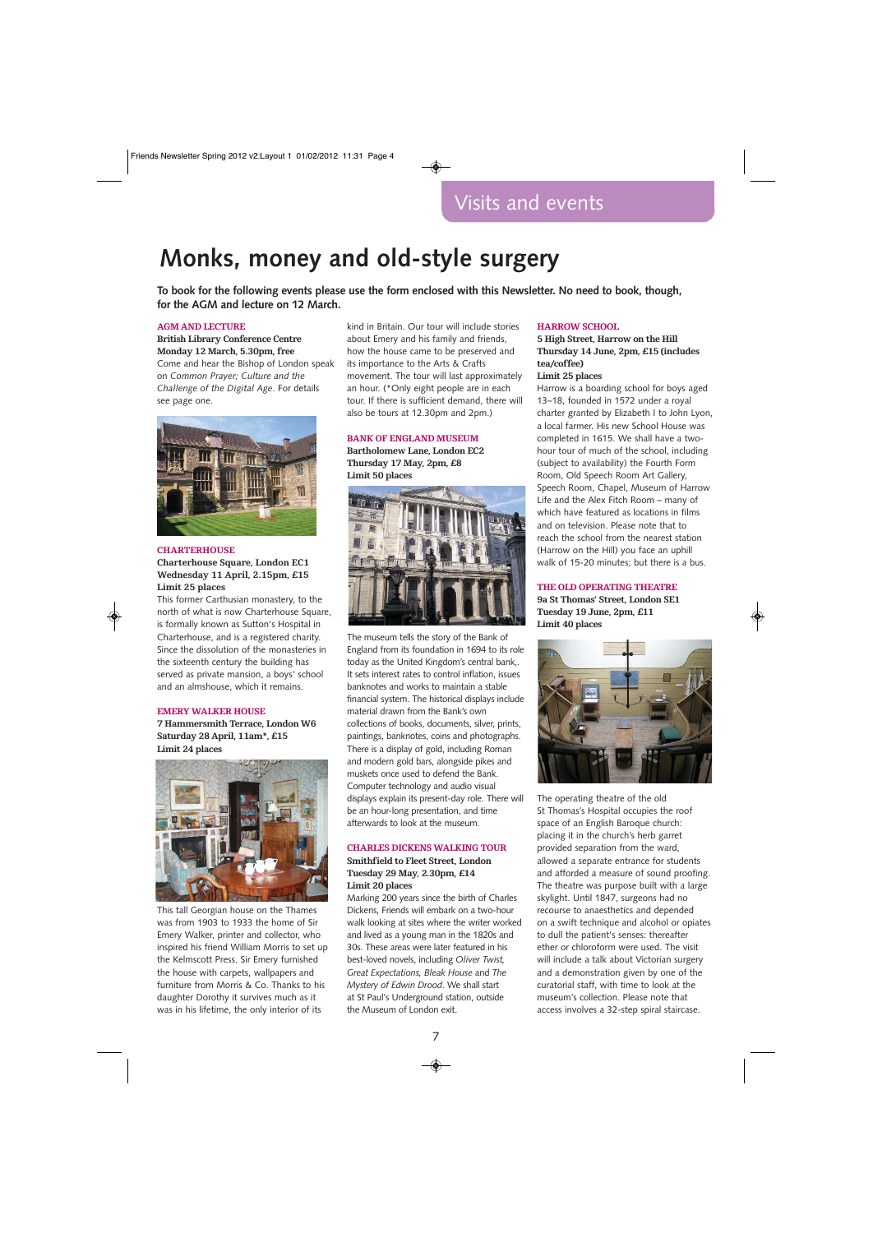# **Monks, money and old-style surgery**

**To book for the following events please use the form enclosed with this Newsletter. No need to book, though, for the AGM and lecture on 12 March.** 

#### **AGM AND LECTURE**

**British Library Conference Centre Monday 12 March, 5.30pm, free** Come and hear the Bishop of London speak on *Common Prayer; Culture and the Challenge of the Digital Age*. For details see page one.



## **CHARTERHOUSE Charterhouse Square, London EC1**

## **Wednesday 11 April, 2.15pm, £15 Limit 25 places**

This former Carthusian monastery, to the north of what is now Charterhouse Square, is formally known as Sutton's Hospital in Charterhouse, and is a registered charity. Since the dissolution of the monasteries in the sixteenth century the building has served as private mansion, a boys' school and an almshouse, which it remains.

#### **EMERY WALKER HOUSE**

**7 Hammersmith Terrace, London W6 Saturday 28 April, 11am\*, £15 Limit 24 places**



This tall Georgian house on the Thames was from 1903 to 1933 the home of Sir Emery Walker, printer and collector, who inspired his friend William Morris to set up the Kelmscott Press. Sir Emery furnished the house with carpets, wallpapers and furniture from Morris & Co. Thanks to his daughter Dorothy it survives much as it was in his lifetime, the only interior of its

kind in Britain. Our tour will include stories about Emery and his family and friends, how the house came to be preserved and its importance to the Arts & Crafts movement. The tour will last approximately an hour. (\*Only eight people are in each tour. If there is sufficient demand, there will also be tours at 12.30pm and 2pm.)

#### **BANK OF ENGLAND MUSEUM**

**Bartholomew Lane, London EC2 Thursday 17 May, 2pm, £8 Limit 50 places**



The museum tells the story of the Bank of England from its foundation in 1694 to its role today as the United Kingdom's central bank,. It sets interest rates to control inflation, issues banknotes and works to maintain a stable financial system. The historical displays include material drawn from the Bank's own collections of books, documents, silver, prints, paintings, banknotes, coins and photographs. There is a display of gold, including Roman and modern gold bars, alongside pikes and muskets once used to defend the Bank. Computer technology and audio visual displays explain its present-day role. There will be an hour-long presentation, and time afterwards to look at the museum.

## **CHARLES DICKENS WALKING TOUR Smithfield to Fleet Street, London Tuesday 29 May, 2.30pm, £14 Limit 20 places**

Marking 200 years since the birth of Charles Dickens, Friends will embark on a two-hour walk looking at sites where the writer worked and lived as a young man in the 1820s and 30s. These areas were later featured in his best-loved novels, including *Oliver Twist, Great Expectations, Bleak House* and *The Mystery of Edwin Drood*. We shall start at St Paul's Underground station, outside the Museum of London exit.

#### **HARROW SCHOOL**

## **5 High Street, Harrow on the Hill Thursday 14 June, 2pm, £15 (includes tea/coffee)**

#### **Limit 25 places**

Harrow is a boarding school for boys aged 13–18, founded in 1572 under a royal charter granted by Elizabeth I to John Lyon, a local farmer. His new School House was completed in 1615. We shall have a twohour tour of much of the school, including (subject to availability) the Fourth Form Room, Old Speech Room Art Gallery, Speech Room, Chapel, Museum of Harrow Life and the Alex Fitch Room – many of which have featured as locations in films and on television. Please note that to reach the school from the nearest station (Harrow on the Hill) you face an uphill walk of 15-20 minutes; but there is a bus.

## **THE OLD OPERATING THEATRE**

**9a St Thomas' Street, London SE1 Tuesday 19 June, 2pm, £11 Limit 40 places**



The operating theatre of the old St Thomas's Hospital occupies the roof space of an English Baroque church: placing it in the church's herb garret provided separation from the ward, allowed a separate entrance for students and afforded a measure of sound proofing. The theatre was purpose built with a large skylight. Until 1847, surgeons had no recourse to anaesthetics and depended on a swift technique and alcohol or opiates to dull the patient's senses: thereafter ether or chloroform were used. The visit will include a talk about Victorian surgery and a demonstration given by one of the curatorial staff, with time to look at the museum's collection. Please note that access involves a 32-step spiral staircase.